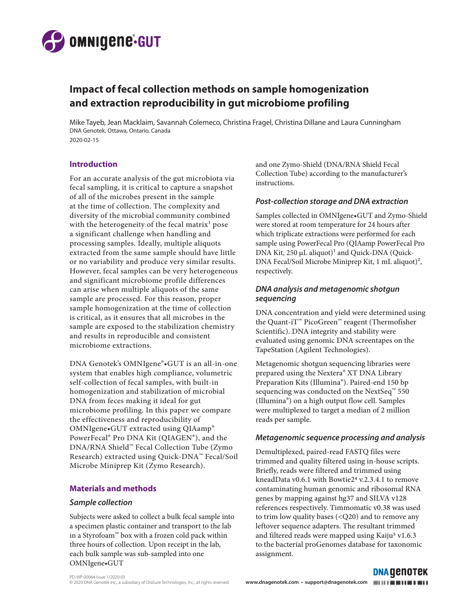

# **Impact of fecal collection methods on sample homogenization and extraction reproducibility in gut microbiome profiling**

Mike Tayeb, Jean Macklaim, Savannah Colemeco, Christina Fragel, Christina Dillane and Laura Cunningham DNA Genotek, Ottawa, Ontario, Canada 2020-02-15

# **Introduction**

For an accurate analysis of the gut microbiota via fecal sampling, it is critical to capture a snapshot of all of the microbes present in the sample at the time of collection. The complexity and diversity of the microbial community combined with the heterogeneity of the fecal matrix<sup>1</sup> pose a significant challenge when handling and processing samples. Ideally, multiple aliquots extracted from the same sample should have little or no variability and produce very similar results. However, fecal samples can be very heterogeneous and significant microbiome profile differences can arise when multiple aliquots of the same sample are processed. For this reason, proper sample homogenization at the time of collection is critical, as it ensures that all microbes in the sample are exposed to the stabilization chemistry and results in reproducible and consistent microbiome extractions.

DNA Genotek's OMNIgene®•GUT is an all-in-one system that enables high compliance, volumetric self-collection of fecal samples, with built-in homogenization and stabilization of microbial DNA from feces making it ideal for gut microbiome profiling. In this paper we compare the effectiveness and reproducibility of OMNIgene•GUT extracted using QIAamp® PowerFecal® Pro DNA Kit (QIAGEN®), and the DNA/RNA Shield™ Fecal Collection Tube (Zymo Research) extracted using Quick-DNA™ Fecal/Soil Microbe Miniprep Kit (Zymo Research).

# **Materials and methods**

## *Sample collection*

Subjects were asked to collect a bulk fecal sample into a specimen plastic container and transport to the lab in a Styrofoam™ box with a frozen cold pack within three hours of collection. Upon receipt in the lab, each bulk sample was sub-sampled into one OMNIgene•GUT

and one Zymo-Shield (DNA/RNA Shield Fecal Collection Tube) according to the manufacturer's instructions.

# *Post-collection storage and DNA extraction*

Samples collected in OMNIgene•GUT and Zymo-Shield were stored at room temperature for 24 hours after which triplicate extractions were performed for each sample using PowerFecal Pro (QIAamp PowerFecal Pro DNA Kit,  $250 \mu L$  aliquot)<sup>1</sup> and Quick-DNA (Quick-DNA Fecal/Soil Microbe Miniprep Kit, 1 mL aliquot)<sup>2</sup>, respectively.

# *DNA analysis and metagenomic shotgun sequencing*

DNA concentration and yield were determined using the Quant-iT™ PicoGreen™ reagent (Thermofisher Scientific). DNA integrity and stability were evaluated using genomic DNA screentapes on the TapeStation (Agilent Technologies).

Metagenomic shotgun sequencing libraries were prepared using the Nextera® XT DNA Library Preparation Kits (Illumina®). Paired-end 150 bp sequencing was conducted on the NextSeq<sup>™</sup> 550 (Illumina®) on a high output flow cell. Samples were multiplexed to target a median of 2 million reads per sample.

# *Metagenomic sequence processing and analysis*

Demultiplexed, paired-read FASTQ files were trimmed and quality filtered using in-house scripts. Briefly, reads were filtered and trimmed using kneadData v0.6.1 with Bowtie2<sup>4</sup> v.2.3.4.1 to remove contaminating human genomic and ribosomal RNA genes by mapping against hg37 and SILVA v128 references respectively. Timmomatic v0.38 was used to trim low quality bases (<Q20) and to remove any leftover sequence adapters. The resultant trimmed and filtered reads were mapped using Kaiju<sup>5</sup> v1.6.3 to the bacterial proGenomes database for taxonomic assignment.

**DNA GENOTEK**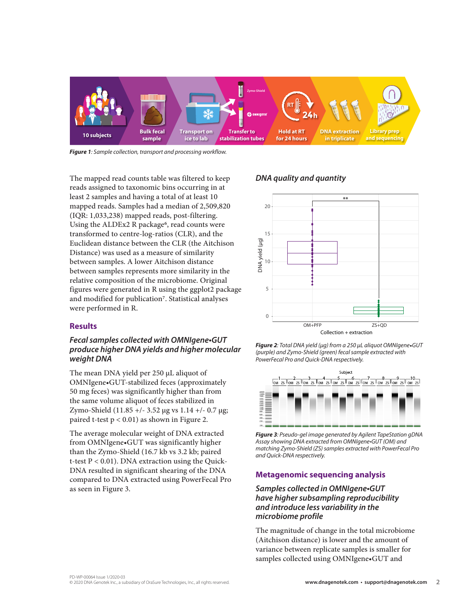

*Figure 1: Sample collection, transport and processing workflow.*

The mapped read counts table was filtered to keep reads assigned to taxonomic bins occurring in at least 2 samples and having a total of at least 10 mapped reads. Samples had a median of 2,509,820 (IQR: 1,033,238) mapped reads, post-filtering. Using the ALDEx2 R package<sup>6</sup>, read counts were transformed to centre-log-ratios (CLR), and the Euclidean distance between the CLR (the Aitchison Distance) was used as a measure of similarity between samples. A lower Aitchison distance between samples represents more similarity in the relative composition of the microbiome. Original figures were generated in R using the ggplot2 package and modified for publication<sup>7</sup>. Statistical analyses were performed in R.

#### **Results**

## *Fecal samples collected with OMNIgene•GUT produce higher DNA yields and higher molecular weight DNA*

The mean DNA yield per 250 µL aliquot of OMNIgene•GUT-stabilized feces (approximately 50 mg feces) was significantly higher than from the same volume aliquot of feces stabilized in Zymo-Shield  $(11.85 +/- 3.52 \text{ µg vs } 1.14 +/- 0.7 \text{ µg};$ paired t-test  $p < 0.01$ ) as shown in Figure 2.

The average molecular weight of DNA extracted from OMNIgene•GUT was significantly higher than the Zymo-Shield (16.7 kb vs 3.2 kb; paired t-test  $P < 0.01$ ). DNA extraction using the Quick-DNA resulted in significant shearing of the DNA compared to DNA extracted using PowerFecal Pro as seen in Figure 3.

## *DNA quality and quantity*



*Figure 2: Total DNA yield (µg) from a 250 µL aliquot OMNIgene*•*GUT (purple) and Zymo-Shield (green) fecal sample extracted with PowerFecal Pro and Quick-DNA respectively.* 



*Figure 3: Pseudo-gel image generated by Agilent TapeStation gDNA Assay showing DNA extracted from OMNIgene•GUT (OM) and matching Zymo-Shield (ZS) samples extracted with PowerFecal Pro and Quick-DNA respectively.* 

## **Metagenomic sequencing analysis**

## *Samples collected in OMNIgene•GUT have higher subsampling reproducibility and introduce less variability in the microbiome profile*

The magnitude of change in the total microbiome (Aitchison distance) is lower and the amount of variance between replicate samples is smaller for samples collected using OMNIgene•GUT and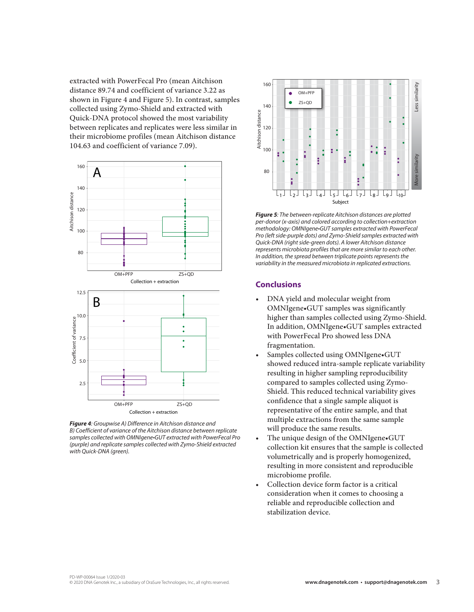extracted with PowerFecal Pro (mean Aitchison distance 89.74 and coefficient of variance 3.22 as shown in Figure 4 and Figure 5). In contrast, samples collected using Zymo-Shield and extracted with Quick-DNA protocol showed the most variability between replicates and replicates were less similar in their microbiome profiles (mean Aitchison distance 104.63 and coefficient of variance 7.09).



*Figure 4: Groupwise A) Difference in Aitchison distance and B) Coefficient of variance of the Aitchison distance between replicate samples collected with OMNIgene•GUT extracted with PowerFecal Pro (purple) and replicate samples collected with Zymo-Shield extracted with Quick-DNA (green).* 



*Figure 5: The between-replicate Aitchison distances are plotted per-donor (x-axis) and colored according to collection+extraction methodology: OMNIgene•GUT samples extracted with PowerFecal Pro (left side-purple dots) and Zymo-Shield samples extracted with Quick-DNA (right side-green dots). A lower Aitchison distance represents microbiota profiles that are more similar to each other. In addition, the spread between triplicate points represents the variability in the measured microbiota in replicated extractions.*

## **Conclusions**

- DNA yield and molecular weight from OMNIgene•GUT samples was significantly higher than samples collected using Zymo-Shield. In addition, OMNIgene•GUT samples extracted with PowerFecal Pro showed less DNA fragmentation.
- Samples collected using OMNIgene•GUT showed reduced intra-sample replicate variability resulting in higher sampling reproducibility compared to samples collected using Zymo-Shield. This reduced technical variability gives confidence that a single sample aliquot is representative of the entire sample, and that multiple extractions from the same sample will produce the same results.
- The unique design of the OMNIgene•GUT collection kit ensures that the sample is collected volumetrically and is properly homogenized, resulting in more consistent and reproducible microbiome profile.
- Collection device form factor is a critical consideration when it comes to choosing a reliable and reproducible collection and stabilization device.